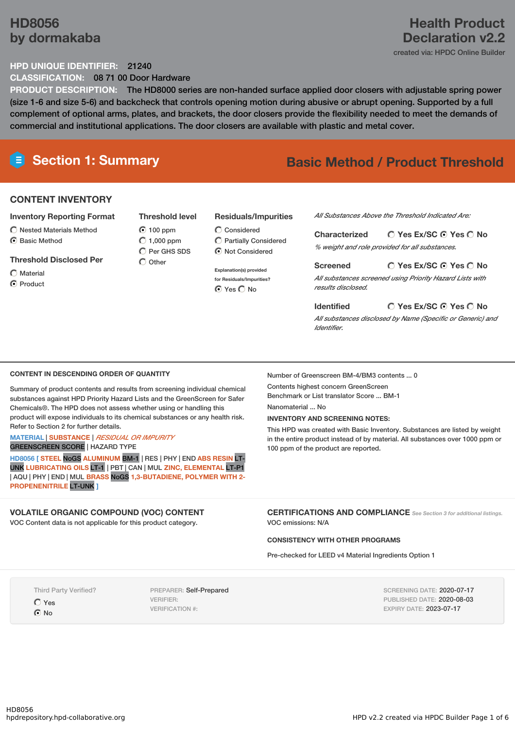# **HD8056 by dormakaba**

# **Health Product Declaration v2.2**

created via: HPDC Online Builder

## **HPD UNIQUE IDENTIFIER:** 21240

**CLASSIFICATION:** 08 71 00 Door Hardware

**PRODUCT DESCRIPTION:** The HD8000 series are non-handed surface applied door closers with adjustable spring power (size 1-6 and size 5-6) and backcheck that controls opening motion during abusive or abrupt opening. Supported by a full complement of optional arms, plates, and brackets, the door closers provide the flexibility needed to meet the demands of commercial and institutional applications. The door closers are available with plastic and metal cover.

# **Section 1: Summary Basic Method / Product Threshold**

# **CONTENT INVENTORY**

#### **Inventory Reporting Format**

 $\bigcirc$  Nested Materials Method C Basic Method

## **Threshold Disclosed Per**

Material

C Product

## **Threshold level** ◯ 100 ppm  $O$  1,000 ppm  $\bigcap$  Per GHS SDS

 $\bigcirc$  Other

## **Residuals/Impurities**

Considered Partially Considered  $\odot$  Not Considered

**Explanation(s) provided for Residuals/Impurities?** ⊙ Yes C No

*All Substances Above the Threshold Indicated Are:*

**Yes Ex/SC Yes No Characterized** *% weight and role provided for all substances.*

**Yes Ex/SC Yes No Screened** *All substances screened using Priority Hazard Lists with results disclosed.*

**Identified**

## **Yes Ex/SC Yes No**

*All substances disclosed by Name (Specific or Generic) and Identifier.*

### **CONTENT IN DESCENDING ORDER OF QUANTITY**

Summary of product contents and results from screening individual chemical substances against HPD Priority Hazard Lists and the GreenScreen for Safer Chemicals®. The HPD does not assess whether using or handling this product will expose individuals to its chemical substances or any health risk. Refer to Section 2 for further details.

#### **MATERIAL** | **SUBSTANCE** | *RESIDUAL OR IMPURITY* GREENSCREEN SCORE | HAZARD TYPE

**HD8056 [ STEEL** NoGS **ALUMINUM** BM-1 | RES | PHY | END **ABS RESIN** LT-UNK **LUBRICATING OILS** LT-1 | PBT | CAN | MUL **ZINC, ELEMENTAL** LT-P1 | AQU | PHY | END | MUL **BRASS** NoGS **1,3-BUTADIENE, POLYMER WITH 2- PROPENENITRILE** LT-UNK **]**

# **VOLATILE ORGANIC COMPOUND (VOC) CONTENT**

VOC Content data is not applicable for this product category.

Number of Greenscreen BM-4/BM3 contents ... 0

Contents highest concern GreenScreen Benchmark or List translator Score ... BM-1

Nanomaterial No.

#### **INVENTORY AND SCREENING NOTES:**

This HPD was created with Basic Inventory. Substances are listed by weight in the entire product instead of by material. All substances over 1000 ppm or 100 ppm of the product are reported.

**CERTIFICATIONS AND COMPLIANCE** *See Section <sup>3</sup> for additional listings.* VOC emissions: N/A

#### **CONSISTENCY WITH OTHER PROGRAMS**

Pre-checked for LEED v4 Material Ingredients Option 1

Third Party Verified? Yes  $\odot$  No

PREPARER: Self-Prepared VERIFIER: VERIFICATION #:

SCREENING DATE: 2020-07-17 PUBLISHED DATE: 2020-08-03 EXPIRY DATE: 2023-07-17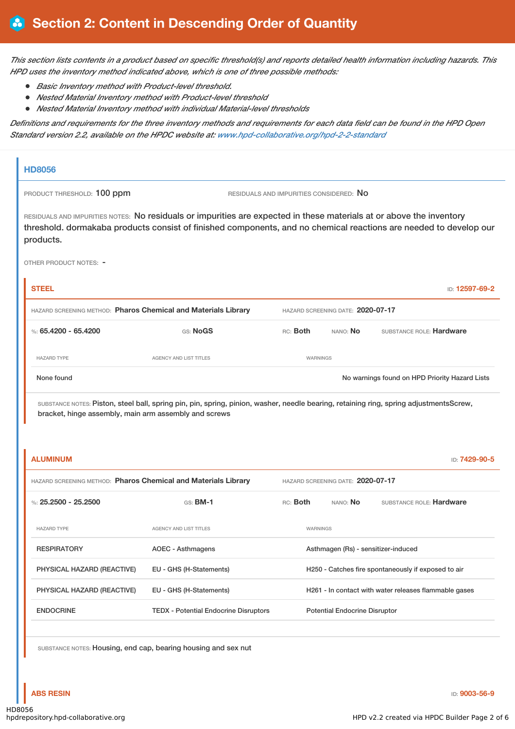This section lists contents in a product based on specific threshold(s) and reports detailed health information including hazards. This *HPD uses the inventory method indicated above, which is one of three possible methods:*

- *Basic Inventory method with Product-level threshold.*
- *Nested Material Inventory method with Product-level threshold*
- *Nested Material Inventory method with individual Material-level thresholds*

Definitions and requirements for the three inventory methods and requirements for each data field can be found in the HPD Open *Standard version 2.2, available on the HPDC website at: [www.hpd-collaborative.org/hpd-2-2-standard](https://www.hpd-collaborative.org/hpd-2-2-standard)*

| PRODUCT THRESHOLD: 100 ppm                                                        |                                                                                                                                                                                                                                           |                                         |                                      |                                                       |
|-----------------------------------------------------------------------------------|-------------------------------------------------------------------------------------------------------------------------------------------------------------------------------------------------------------------------------------------|-----------------------------------------|--------------------------------------|-------------------------------------------------------|
|                                                                                   |                                                                                                                                                                                                                                           | RESIDUALS AND IMPURITIES CONSIDERED: NO |                                      |                                                       |
| products.                                                                         | RESIDUALS AND IMPURITIES NOTES: No residuals or impurities are expected in these materials at or above the inventory<br>threshold. dormakaba products consist of finished components, and no chemical reactions are needed to develop our |                                         |                                      |                                                       |
| OTHER PRODUCT NOTES: -                                                            |                                                                                                                                                                                                                                           |                                         |                                      |                                                       |
| <b>STEEL</b>                                                                      |                                                                                                                                                                                                                                           |                                         |                                      | ID: 12597-69-2                                        |
| HAZARD SCREENING METHOD: Pharos Chemical and Materials Library                    |                                                                                                                                                                                                                                           |                                         | HAZARD SCREENING DATE: 2020-07-17    |                                                       |
| %: 65.4200 - 65.4200                                                              | GS: NoGS                                                                                                                                                                                                                                  | RC: Both                                | nano: <b>No</b>                      | SUBSTANCE ROLE: Hardware                              |
| <b>HAZARD TYPE</b>                                                                | AGENCY AND LIST TITLES                                                                                                                                                                                                                    | WARNINGS                                |                                      |                                                       |
| None found                                                                        |                                                                                                                                                                                                                                           |                                         |                                      | No warnings found on HPD Priority Hazard Lists        |
|                                                                                   |                                                                                                                                                                                                                                           |                                         |                                      |                                                       |
| <b>ALUMINUM</b><br>HAZARD SCREENING METHOD: Pharos Chemical and Materials Library |                                                                                                                                                                                                                                           |                                         | HAZARD SCREENING DATE: 2020-07-17    | ID: 7429-90-5                                         |
| %: $25.2500 - 25.2500$                                                            | GS: BM-1                                                                                                                                                                                                                                  | RC: Both                                | NANO: No                             | SUBSTANCE ROLE: Hardware                              |
| <b>HAZARD TYPE</b>                                                                | <b>AGENCY AND LIST TITLES</b>                                                                                                                                                                                                             | WARNINGS                                |                                      |                                                       |
| <b>RESPIRATORY</b>                                                                | <b>AOEC - Asthmagens</b>                                                                                                                                                                                                                  |                                         | Asthmagen (Rs) - sensitizer-induced  |                                                       |
| PHYSICAL HAZARD (REACTIVE)                                                        | EU - GHS (H-Statements)                                                                                                                                                                                                                   |                                         |                                      | H250 - Catches fire spontaneously if exposed to air   |
| PHYSICAL HAZARD (REACTIVE)                                                        | EU - GHS (H-Statements)                                                                                                                                                                                                                   |                                         |                                      | H261 - In contact with water releases flammable gases |
| <b>ENDOCRINE</b>                                                                  | <b>TEDX - Potential Endocrine Disruptors</b>                                                                                                                                                                                              |                                         | <b>Potential Endocrine Disruptor</b> |                                                       |
|                                                                                   | SUBSTANCE NOTES: Housing, end cap, bearing housing and sex nut                                                                                                                                                                            |                                         |                                      |                                                       |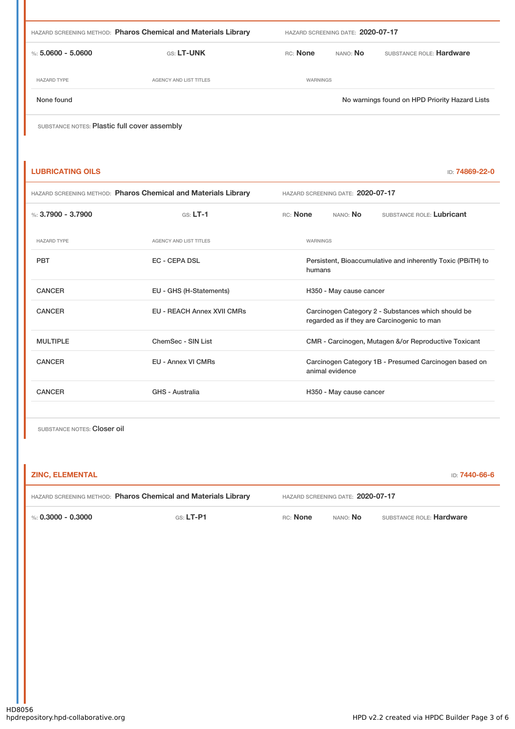| HAZARD SCREENING METHOD: Pharos Chemical and Materials Library |                               | HAZARD SCREENING DATE: 2020-07-17 |                 |                                                |
|----------------------------------------------------------------|-------------------------------|-----------------------------------|-----------------|------------------------------------------------|
| %: $5.0600 - 5.0600$                                           | <b>GS: LT-UNK</b>             | <b>RC:</b> None                   | NANO: <b>No</b> | SUBSTANCE ROLE: Hardware                       |
| <b>HAZARD TYPE</b>                                             | <b>AGENCY AND LIST TITLES</b> | <b>WARNINGS</b>                   |                 |                                                |
| None found                                                     |                               |                                   |                 | No warnings found on HPD Priority Hazard Lists |
| SUBSTANCE NOTES: Plastic full cover assembly                   |                               |                                   |                 |                                                |

| <b>LUBRICATING OILS</b>                                        |                                   | ID: 74869-22-0                                                                                    |  |  |
|----------------------------------------------------------------|-----------------------------------|---------------------------------------------------------------------------------------------------|--|--|
| HAZARD SCREENING METHOD: Pharos Chemical and Materials Library |                                   | HAZARD SCREENING DATE: 2020-07-17                                                                 |  |  |
| %: $3.7900 - 3.7900$                                           | $GS: LT-1$                        | RC: None<br>NANO: No<br>SUBSTANCE ROLE: Lubricant                                                 |  |  |
| <b>HAZARD TYPE</b>                                             | AGENCY AND LIST TITLES            | WARNINGS                                                                                          |  |  |
| <b>PBT</b>                                                     | <b>EC - CEPA DSL</b>              | Persistent, Bioaccumulative and inherently Toxic (PBiTH) to<br>humans                             |  |  |
| <b>CANCER</b>                                                  | EU - GHS (H-Statements)           | H350 - May cause cancer                                                                           |  |  |
| <b>CANCER</b>                                                  | <b>EU - REACH Annex XVII CMRs</b> | Carcinogen Category 2 - Substances which should be<br>regarded as if they are Carcinogenic to man |  |  |
| <b>MULTIPLE</b>                                                | ChemSec - SIN List                | CMR - Carcinogen, Mutagen &/or Reproductive Toxicant                                              |  |  |
| <b>CANCER</b>                                                  | <b>EU - Annex VI CMRs</b>         | Carcinogen Category 1B - Presumed Carcinogen based on<br>animal evidence                          |  |  |
| <b>CANCER</b>                                                  | GHS - Australia                   | H350 - May cause cancer                                                                           |  |  |
|                                                                |                                   |                                                                                                   |  |  |

SUBSTANCE NOTES: Closer oil

| <b>ZINC, ELEMENTAL</b>                                         |                       |                                   |                 | D: <b>7440-66-6</b>      |
|----------------------------------------------------------------|-----------------------|-----------------------------------|-----------------|--------------------------|
| HAZARD SCREENING METHOD: Pharos Chemical and Materials Library |                       | HAZARD SCREENING DATE: 2020-07-17 |                 |                          |
| %: 0.3000 - 0.3000                                             | $\mathsf{GS}$ : LT-P1 | RC: None                          | NANO: <b>No</b> | SUBSTANCE ROLE: Hardware |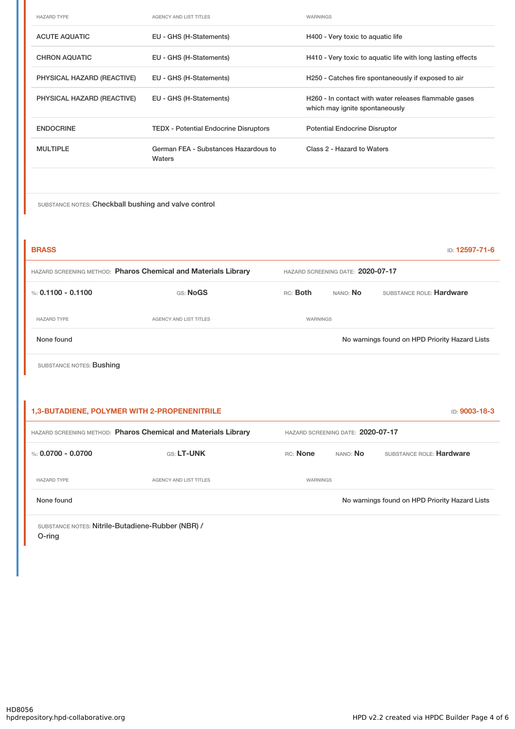| <b>HAZARD TYPE</b>         | <b>AGENCY AND LIST TITLES</b>                  | <b>WARNINGS</b>                                                                         |
|----------------------------|------------------------------------------------|-----------------------------------------------------------------------------------------|
| <b>ACUTE AQUATIC</b>       | EU - GHS (H-Statements)                        | H400 - Very toxic to aquatic life                                                       |
| <b>CHRON AQUATIC</b>       | EU - GHS (H-Statements)                        | H410 - Very toxic to aquatic life with long lasting effects                             |
| PHYSICAL HAZARD (REACTIVE) | EU - GHS (H-Statements)                        | H250 - Catches fire spontaneously if exposed to air                                     |
| PHYSICAL HAZARD (REACTIVE) | EU - GHS (H-Statements)                        | H260 - In contact with water releases flammable gases<br>which may ignite spontaneously |
| <b>ENDOCRINE</b>           | <b>TEDX</b> - Potential Endocrine Disruptors   | <b>Potential Endocrine Disruptor</b>                                                    |
| <b>MULTIPLE</b>            | German FEA - Substances Hazardous to<br>Waters | Class 2 - Hazard to Waters                                                              |
|                            |                                                |                                                                                         |

SUBSTANCE NOTES: Checkball bushing and valve control

| <b>BRASS</b>                                                   |                        |                                   | <b>ID: 12597-71-6</b> |                                                |
|----------------------------------------------------------------|------------------------|-----------------------------------|-----------------------|------------------------------------------------|
| HAZARD SCREENING METHOD: Pharos Chemical and Materials Library |                        | HAZARD SCREENING DATE: 2020-07-17 |                       |                                                |
| %: $0.1100 - 0.1100$                                           | GS: NoGS               | RC: Both                          | NANO: No              | SUBSTANCE ROLE: Hardware                       |
| <b>HAZARD TYPE</b>                                             | AGENCY AND LIST TITLES | WARNINGS                          |                       |                                                |
| None found                                                     |                        |                                   |                       | No warnings found on HPD Priority Hazard Lists |
| SUBSTANCE NOTES: Bushing                                       |                        |                                   |                       |                                                |

| <b>1,3-BUTADIENE, POLYMER WITH 2-PROPENENITRILE</b>            |                        |                                   |          | ID: 9003-18-3                                  |
|----------------------------------------------------------------|------------------------|-----------------------------------|----------|------------------------------------------------|
| HAZARD SCREENING METHOD: Pharos Chemical and Materials Library |                        | HAZARD SCREENING DATE: 2020-07-17 |          |                                                |
| %: $0.0700 - 0.0700$                                           | <b>GS: LT-UNK</b>      | <b>RC:</b> None                   | NANO: No | SUBSTANCE ROLE: Hardware                       |
| <b>HAZARD TYPE</b>                                             | AGENCY AND LIST TITLES | WARNINGS                          |          |                                                |
| None found                                                     |                        |                                   |          | No warnings found on HPD Priority Hazard Lists |
|                                                                |                        |                                   |          |                                                |

SUBSTANCE NOTES: Nitrile-Butadiene-Rubber (NBR) / O-ring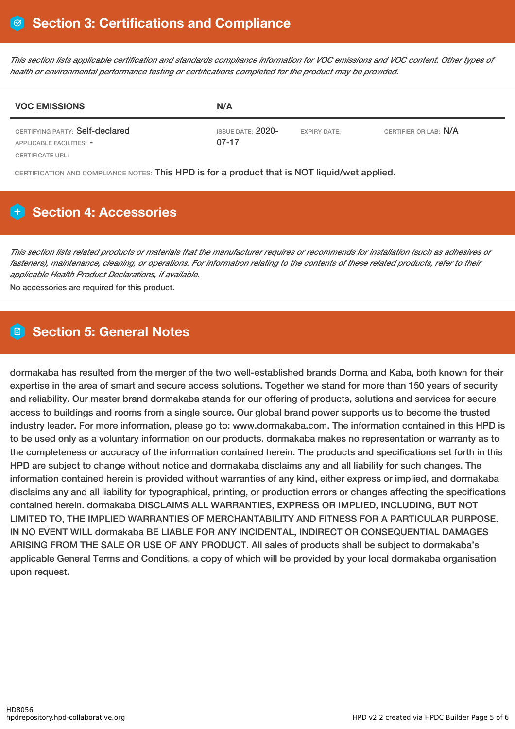This section lists applicable certification and standards compliance information for VOC emissions and VOC content. Other types of *health or environmental performance testing or certifications completed for the product may be provided.*

| <b>VOC EMISSIONS</b>                                        | N/A                          |                     |                       |  |
|-------------------------------------------------------------|------------------------------|---------------------|-----------------------|--|
| CERTIFYING PARTY: Self-declared<br>APPLICABLE FACILITIES: - | ISSUE DATE: 2020-<br>$07-17$ | <b>EXPIRY DATE:</b> | CERTIFIER OR LAB: N/A |  |
| CERTIFICATE URL:                                            |                              |                     |                       |  |

CERTIFICATION AND COMPLIANCE NOTES: This HPD is for a product that is NOT liquid/wet applied.

# **Section 4: Accessories**

This section lists related products or materials that the manufacturer requires or recommends for installation (such as adhesives or fasteners), maintenance, cleaning, or operations. For information relating to the contents of these related products, refer to their *applicable Health Product Declarations, if available.*

No accessories are required for this product.

# **Section 5: General Notes**

dormakaba has resulted from the merger of the two well-established brands Dorma and Kaba, both known for their expertise in the area of smart and secure access solutions. Together we stand for more than 150 years of security and reliability. Our master brand dormakaba stands for our offering of products, solutions and services for secure access to buildings and rooms from a single source. Our global brand power supports us to become the trusted industry leader. For more information, please go to: www.dormakaba.com. The information contained in this HPD is to be used only as a voluntary information on our products. dormakaba makes no representation or warranty as to the completeness or accuracy of the information contained herein. The products and specifications set forth in this HPD are subject to change without notice and dormakaba disclaims any and all liability for such changes. The information contained herein is provided without warranties of any kind, either express or implied, and dormakaba disclaims any and all liability for typographical, printing, or production errors or changes affecting the specifications contained herein. dormakaba DISCLAIMS ALL WARRANTIES, EXPRESS OR IMPLIED, INCLUDING, BUT NOT LIMITED TO, THE IMPLIED WARRANTIES OF MERCHANTABILITY AND FITNESS FOR A PARTICULAR PURPOSE. IN NO EVENT WILL dormakaba BE LIABLE FOR ANY INCIDENTAL, INDIRECT OR CONSEQUENTIAL DAMAGES ARISING FROM THE SALE OR USE OF ANY PRODUCT. All sales of products shall be subject to dormakaba's applicable General Terms and Conditions, a copy of which will be provided by your local dormakaba organisation upon request.